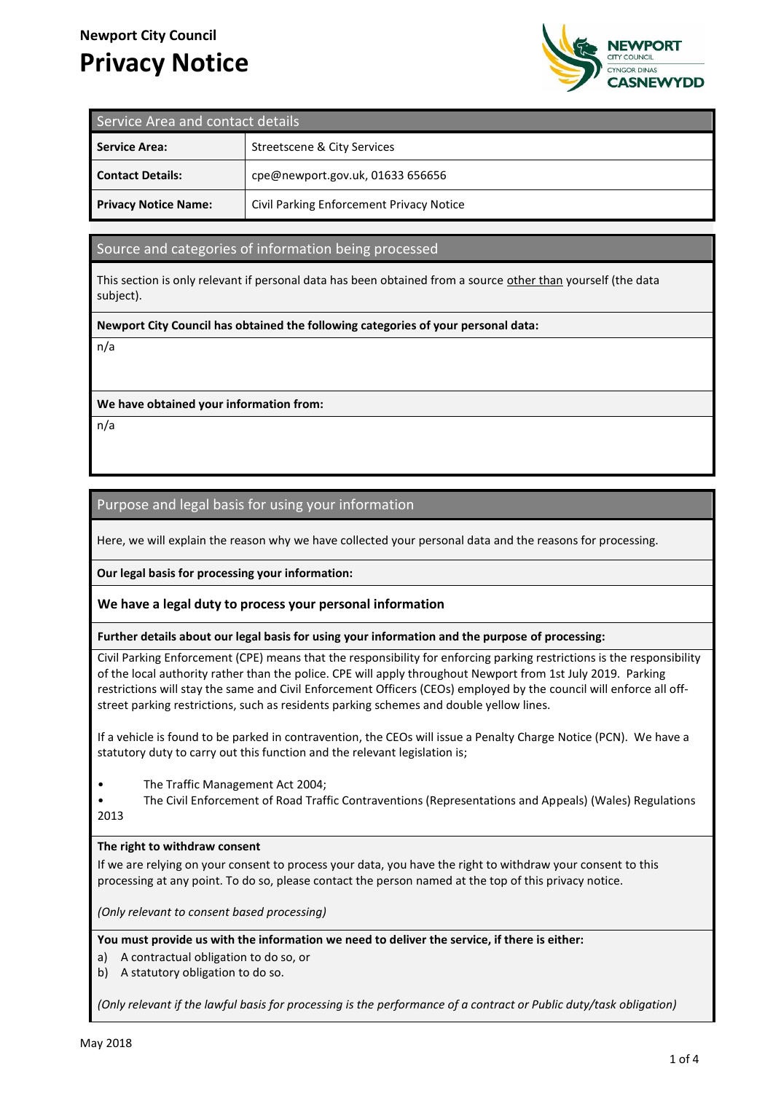# **Newport City Council Privacy Notice**



| Service Area and contact details |                                          |
|----------------------------------|------------------------------------------|
| <b>Service Area:</b>             | Streetscene & City Services              |
| <b>Contact Details:</b>          | cpe@newport.gov.uk, 01633 656656         |
| <b>Privacy Notice Name:</b>      | Civil Parking Enforcement Privacy Notice |

# Source and categories of information being processed

This section is only relevant if personal data has been obtained from a source other than yourself (the data subject).

#### **Newport City Council has obtained the following categories of your personal data:**

n/a

## **We have obtained your information from:**

n/a

# Purpose and legal basis for using your information

Here, we will explain the reason why we have collected your personal data and the reasons for processing.

**Our legal basis for processing your information:**

## **We have a legal duty to process your personal information**

**Further details about our legal basis for using your information and the purpose of processing:**

Civil Parking Enforcement (CPE) means that the responsibility for enforcing parking restrictions is the responsibility of the local authority rather than the police. CPE will apply throughout Newport from 1st July 2019. Parking restrictions will stay the same and Civil Enforcement Officers (CEOs) employed by the council will enforce all offstreet parking restrictions, such as residents parking schemes and double yellow lines.

If a vehicle is found to be parked in contravention, the CEOs will issue a Penalty Charge Notice (PCN). We have a statutory duty to carry out this function and the relevant legislation is;

• The Traffic Management Act 2004;

• The Civil Enforcement of Road Traffic Contraventions (Representations and Appeals) (Wales) Regulations 2013

## **The right to withdraw consent**

If we are relying on your consent to process your data, you have the right to withdraw your consent to this processing at any point. To do so, please contact the person named at the top of this privacy notice.

*(Only relevant to consent based processing)*

**You must provide us with the information we need to deliver the service, if there is either:**

- a) A contractual obligation to do so, or
- b) A statutory obligation to do so.

*(Only relevant if the lawful basis for processing is the performance of a contract or Public duty/task obligation)*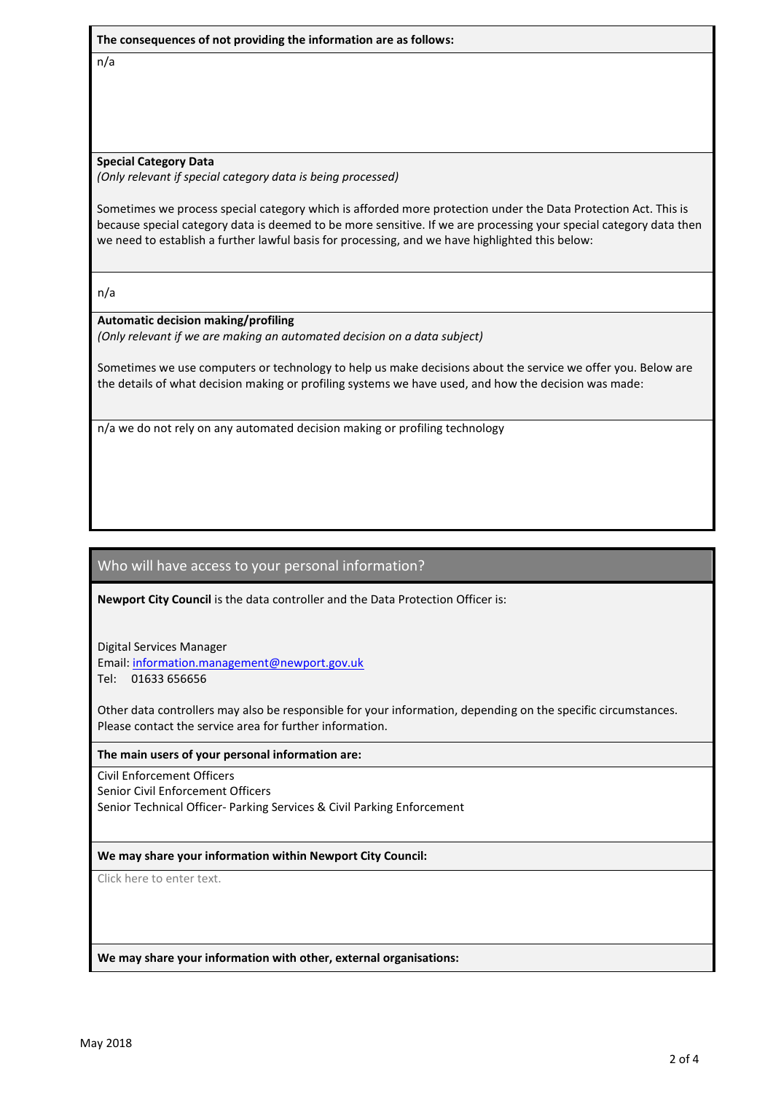**The consequences of not providing the information are as follows:**

n/a

#### **Special Category Data**

*(Only relevant if special category data is being processed)*

Sometimes we process special category which is afforded more protection under the Data Protection Act. This is because special category data is deemed to be more sensitive. If we are processing your special category data then we need to establish a further lawful basis for processing, and we have highlighted this below:

n/a

## **Automatic decision making/profiling**

*(Only relevant if we are making an automated decision on a data subject)*

Sometimes we use computers or technology to help us make decisions about the service we offer you. Below are the details of what decision making or profiling systems we have used, and how the decision was made:

n/a we do not rely on any automated decision making or profiling technology

# Who will have access to your personal information?

**Newport City Council** is the data controller and the Data Protection Officer is:

Digital Services Manager

Email: information.management@newport.gov.uk

Tel: 01633 656656

Other data controllers may also be responsible for your information, depending on the specific circumstances. Please contact the service area for further information.

## **The main users of your personal information are:**

Civil Enforcement Officers Senior Civil Enforcement Officers Senior Technical Officer- Parking Services & Civil Parking Enforcement

## **We may share your information within Newport City Council:**

Click here to enter text.

**We may share your information with other, external organisations:**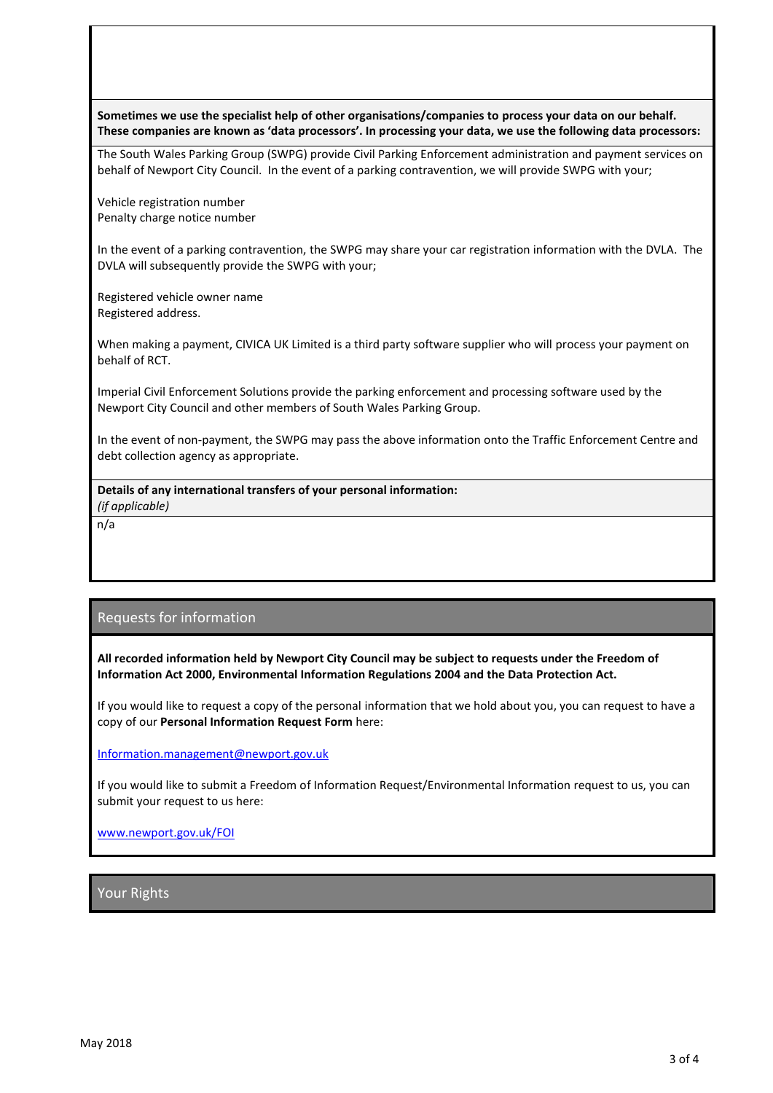**Sometimes we use the specialist help of other organisations/companies to process your data on our behalf. These companies are known as 'data processors'. In processing your data, we use the following data processors:**

The South Wales Parking Group (SWPG) provide Civil Parking Enforcement administration and payment services on behalf of Newport City Council. In the event of a parking contravention, we will provide SWPG with your;

Vehicle registration number Penalty charge notice number

In the event of a parking contravention, the SWPG may share your car registration information with the DVLA. The DVLA will subsequently provide the SWPG with your;

Registered vehicle owner name Registered address.

When making a payment, CIVICA UK Limited is a third party software supplier who will process your payment on behalf of RCT.

Imperial Civil Enforcement Solutions provide the parking enforcement and processing software used by the Newport City Council and other members of South Wales Parking Group.

In the event of non-payment, the SWPG may pass the above information onto the Traffic Enforcement Centre and debt collection agency as appropriate.

**Details of any international transfers of your personal information:** *(if applicable)*

n/a

# Requests for information

**All recorded information held by Newport City Council may be subject to requests under the Freedom of Information Act 2000, Environmental Information Regulations 2004 and the Data Protection Act.**

If you would like to request a copy of the personal information that we hold about you, you can request to have a copy of our **Personal Information Request Form** here:

[Information.management@newport.gov.uk](mailto:Information.management@newport.gov.uk)

If you would like to submit a Freedom of Information Request/Environmental Information request to us, you can submit your request to us here:

[www.newport.gov.uk/FOI](http://www.newport.gov.uk/FOI)

Your Rights